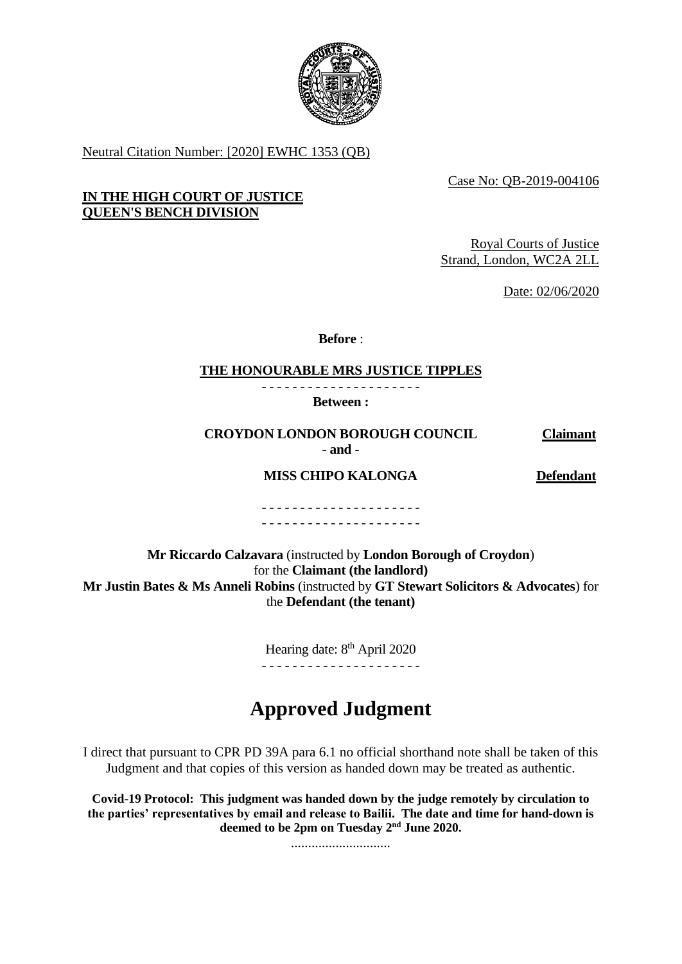

Neutral Citation Number: [2020] EWHC 1353 (QB)

Case No: QB-2019-004106

# **IN THE HIGH COURT OF JUSTICE QUEEN'S BENCH DIVISION**

Royal Courts of Justice Strand, London, WC2A 2LL

Date: 02/06/2020

**Before** :

#### **THE HONOURABLE MRS JUSTICE TIPPLES** - - - - - - - - - - - - - - - - - - - - -

**Between :**

**CROYDON LONDON BOROUGH COUNCIL Claimant**

**- and -**

**MISS CHIPO KALONGA Defendant**

- - - - - - - - - - - - - - - - - - - - - - - - - - - - - - - - - - - - - - - - - -

**Mr Riccardo Calzavara** (instructed by **London Borough of Croydon**) for the **Claimant (the landlord) Mr Justin Bates & Ms Anneli Robins** (instructed by **GT Stewart Solicitors & Advocates**) for the **Defendant (the tenant)**

> Hearing date: 8<sup>th</sup> April 2020 - - - - - - - - - - - - - - - - - - - - -

# **Approved Judgment**

I direct that pursuant to CPR PD 39A para 6.1 no official shorthand note shall be taken of this Judgment and that copies of this version as handed down may be treated as authentic.

**Covid-19 Protocol: This judgment was handed down by the judge remotely by circulation to the parties' representatives by email and release to Bailii. The date and time for hand-down is deemed to be 2pm on Tuesday 2nd June 2020.**

.............................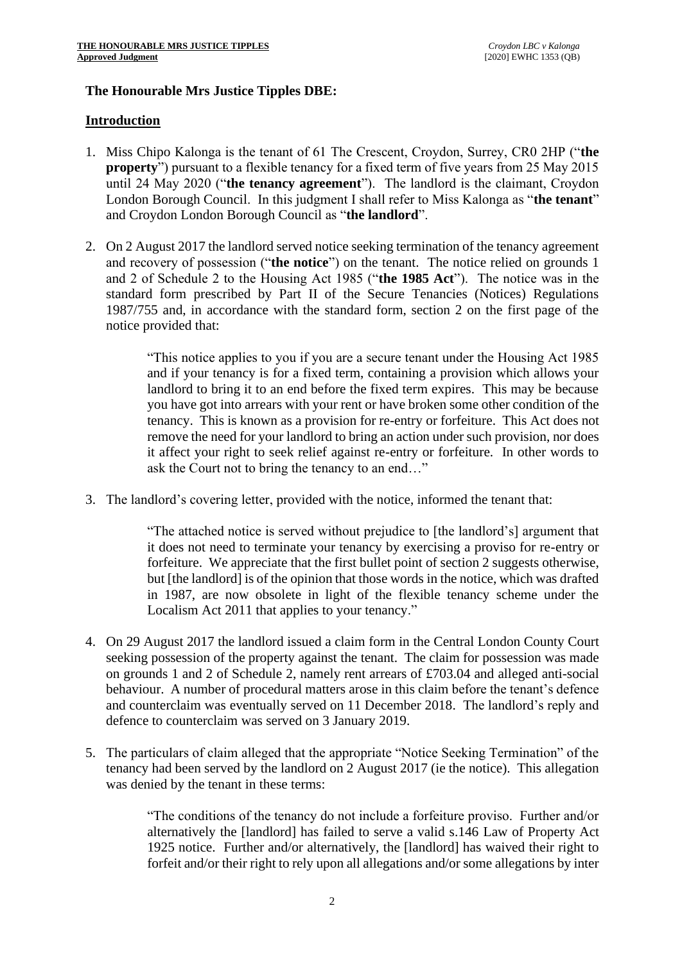# **The Honourable Mrs Justice Tipples DBE:**

## **Introduction**

- 1. Miss Chipo Kalonga is the tenant of 61 The Crescent, Croydon, Surrey, CR0 2HP ("**the property**") pursuant to a flexible tenancy for a fixed term of five years from 25 May 2015 until 24 May 2020 ("**the tenancy agreement**"). The landlord is the claimant, Croydon London Borough Council. In this judgment I shall refer to Miss Kalonga as "**the tenant**" and Croydon London Borough Council as "**the landlord**".
- 2. On 2 August 2017 the landlord served notice seeking termination of the tenancy agreement and recovery of possession ("**the notice**") on the tenant. The notice relied on grounds 1 and 2 of Schedule 2 to the Housing Act 1985 ("**the 1985 Act**"). The notice was in the standard form prescribed by Part II of the Secure Tenancies (Notices) Regulations 1987/755 and, in accordance with the standard form, section 2 on the first page of the notice provided that:

"This notice applies to you if you are a secure tenant under the Housing Act 1985 and if your tenancy is for a fixed term, containing a provision which allows your landlord to bring it to an end before the fixed term expires. This may be because you have got into arrears with your rent or have broken some other condition of the tenancy. This is known as a provision for re-entry or forfeiture. This Act does not remove the need for your landlord to bring an action under such provision, nor does it affect your right to seek relief against re-entry or forfeiture. In other words to ask the Court not to bring the tenancy to an end…"

3. The landlord's covering letter, provided with the notice, informed the tenant that:

"The attached notice is served without prejudice to [the landlord's] argument that it does not need to terminate your tenancy by exercising a proviso for re-entry or forfeiture. We appreciate that the first bullet point of section 2 suggests otherwise, but [the landlord] is of the opinion that those words in the notice, which was drafted in 1987, are now obsolete in light of the flexible tenancy scheme under the Localism Act 2011 that applies to your tenancy."

- 4. On 29 August 2017 the landlord issued a claim form in the Central London County Court seeking possession of the property against the tenant. The claim for possession was made on grounds 1 and 2 of Schedule 2, namely rent arrears of £703.04 and alleged anti-social behaviour. A number of procedural matters arose in this claim before the tenant's defence and counterclaim was eventually served on 11 December 2018. The landlord's reply and defence to counterclaim was served on 3 January 2019.
- 5. The particulars of claim alleged that the appropriate "Notice Seeking Termination" of the tenancy had been served by the landlord on 2 August 2017 (ie the notice). This allegation was denied by the tenant in these terms:

"The conditions of the tenancy do not include a forfeiture proviso. Further and/or alternatively the [landlord] has failed to serve a valid s.146 Law of Property Act 1925 notice. Further and/or alternatively, the [landlord] has waived their right to forfeit and/or their right to rely upon all allegations and/or some allegations by inter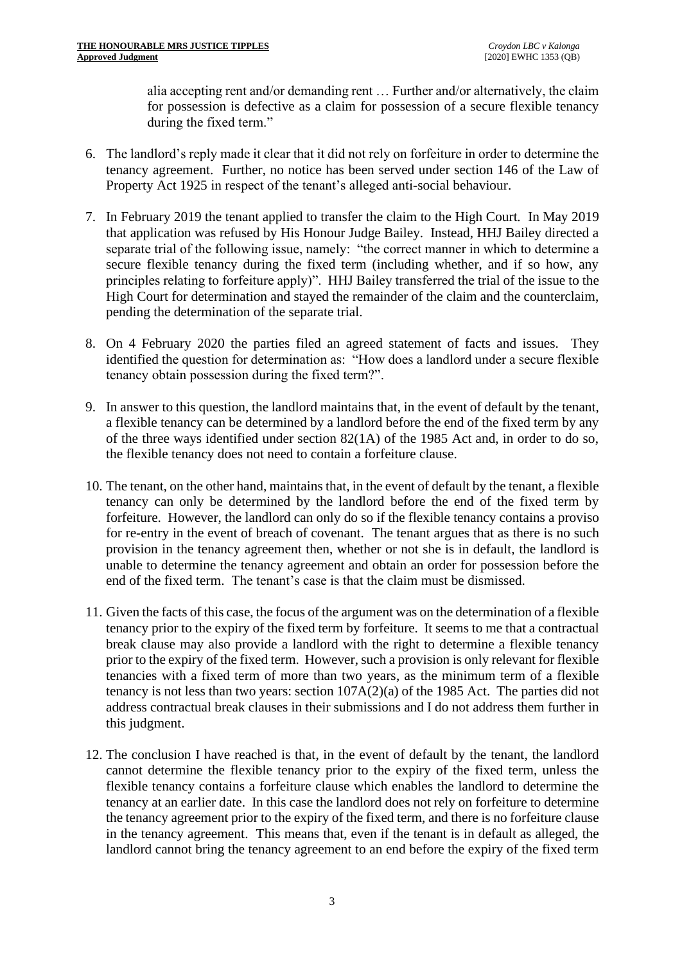alia accepting rent and/or demanding rent … Further and/or alternatively, the claim for possession is defective as a claim for possession of a secure flexible tenancy during the fixed term."

- 6. The landlord's reply made it clear that it did not rely on forfeiture in order to determine the tenancy agreement. Further, no notice has been served under section 146 of the Law of Property Act 1925 in respect of the tenant's alleged anti-social behaviour.
- 7. In February 2019 the tenant applied to transfer the claim to the High Court. In May 2019 that application was refused by His Honour Judge Bailey. Instead, HHJ Bailey directed a separate trial of the following issue, namely: "the correct manner in which to determine a secure flexible tenancy during the fixed term (including whether, and if so how, any principles relating to forfeiture apply)". HHJ Bailey transferred the trial of the issue to the High Court for determination and stayed the remainder of the claim and the counterclaim, pending the determination of the separate trial.
- 8. On 4 February 2020 the parties filed an agreed statement of facts and issues. They identified the question for determination as: "How does a landlord under a secure flexible tenancy obtain possession during the fixed term?".
- 9. In answer to this question, the landlord maintains that, in the event of default by the tenant, a flexible tenancy can be determined by a landlord before the end of the fixed term by any of the three ways identified under section 82(1A) of the 1985 Act and, in order to do so, the flexible tenancy does not need to contain a forfeiture clause.
- 10. The tenant, on the other hand, maintains that, in the event of default by the tenant, a flexible tenancy can only be determined by the landlord before the end of the fixed term by forfeiture. However, the landlord can only do so if the flexible tenancy contains a proviso for re-entry in the event of breach of covenant. The tenant argues that as there is no such provision in the tenancy agreement then, whether or not she is in default, the landlord is unable to determine the tenancy agreement and obtain an order for possession before the end of the fixed term. The tenant's case is that the claim must be dismissed.
- 11. Given the facts of this case, the focus of the argument was on the determination of a flexible tenancy prior to the expiry of the fixed term by forfeiture. It seems to me that a contractual break clause may also provide a landlord with the right to determine a flexible tenancy prior to the expiry of the fixed term. However, such a provision is only relevant for flexible tenancies with a fixed term of more than two years, as the minimum term of a flexible tenancy is not less than two years: section 107A(2)(a) of the 1985 Act. The parties did not address contractual break clauses in their submissions and I do not address them further in this judgment.
- 12. The conclusion I have reached is that, in the event of default by the tenant, the landlord cannot determine the flexible tenancy prior to the expiry of the fixed term, unless the flexible tenancy contains a forfeiture clause which enables the landlord to determine the tenancy at an earlier date. In this case the landlord does not rely on forfeiture to determine the tenancy agreement prior to the expiry of the fixed term, and there is no forfeiture clause in the tenancy agreement. This means that, even if the tenant is in default as alleged, the landlord cannot bring the tenancy agreement to an end before the expiry of the fixed term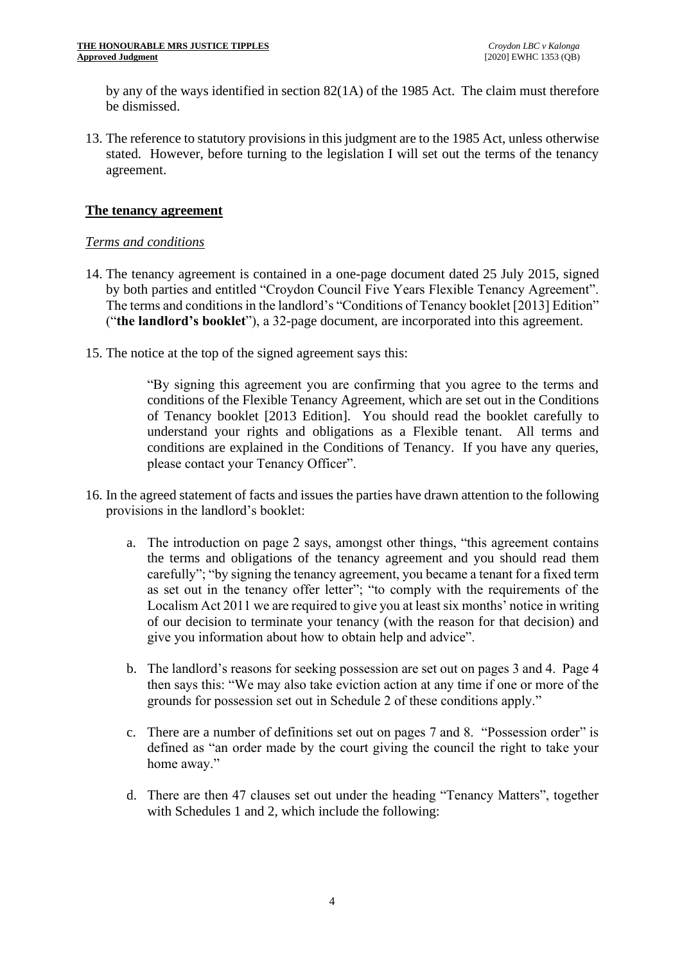by any of the ways identified in section 82(1A) of the 1985 Act. The claim must therefore be dismissed.

13. The reference to statutory provisions in this judgment are to the 1985 Act, unless otherwise stated. However, before turning to the legislation I will set out the terms of the tenancy agreement.

# **The tenancy agreement**

# *Terms and conditions*

- 14. The tenancy agreement is contained in a one-page document dated 25 July 2015, signed by both parties and entitled "Croydon Council Five Years Flexible Tenancy Agreement". The terms and conditions in the landlord's "Conditions of Tenancy booklet [2013] Edition" ("**the landlord's booklet**"), a 32-page document, are incorporated into this agreement.
- 15. The notice at the top of the signed agreement says this:

"By signing this agreement you are confirming that you agree to the terms and conditions of the Flexible Tenancy Agreement, which are set out in the Conditions of Tenancy booklet [2013 Edition]. You should read the booklet carefully to understand your rights and obligations as a Flexible tenant. All terms and conditions are explained in the Conditions of Tenancy. If you have any queries, please contact your Tenancy Officer".

- 16. In the agreed statement of facts and issues the parties have drawn attention to the following provisions in the landlord's booklet:
	- a. The introduction on page 2 says, amongst other things, "this agreement contains the terms and obligations of the tenancy agreement and you should read them carefully"; "by signing the tenancy agreement, you became a tenant for a fixed term as set out in the tenancy offer letter"; "to comply with the requirements of the Localism Act 2011 we are required to give you at least six months' notice in writing of our decision to terminate your tenancy (with the reason for that decision) and give you information about how to obtain help and advice".
	- b. The landlord's reasons for seeking possession are set out on pages 3 and 4. Page 4 then says this: "We may also take eviction action at any time if one or more of the grounds for possession set out in Schedule 2 of these conditions apply."
	- c. There are a number of definitions set out on pages 7 and 8. "Possession order" is defined as "an order made by the court giving the council the right to take your home away."
	- d. There are then 47 clauses set out under the heading "Tenancy Matters", together with Schedules 1 and 2, which include the following: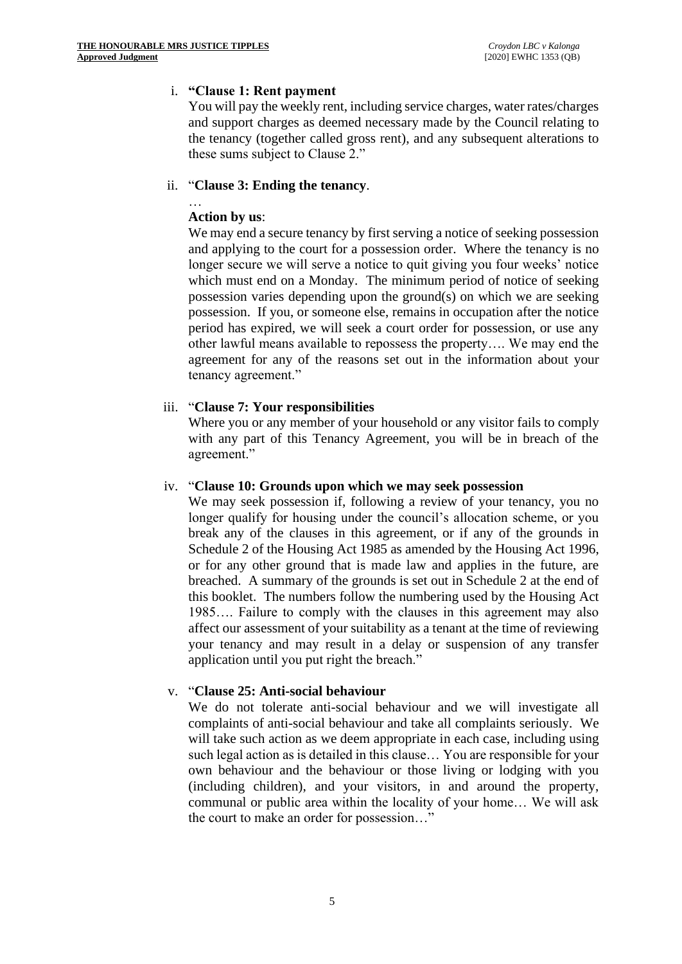# i. **"Clause 1: Rent payment**

You will pay the weekly rent, including service charges, water rates/charges and support charges as deemed necessary made by the Council relating to the tenancy (together called gross rent), and any subsequent alterations to these sums subject to Clause 2."

#### ii. "**Clause 3: Ending the tenancy**.

#### … **Action by us**:

We may end a secure tenancy by first serving a notice of seeking possession and applying to the court for a possession order. Where the tenancy is no longer secure we will serve a notice to quit giving you four weeks' notice which must end on a Monday. The minimum period of notice of seeking possession varies depending upon the ground(s) on which we are seeking possession. If you, or someone else, remains in occupation after the notice period has expired, we will seek a court order for possession, or use any other lawful means available to repossess the property…. We may end the agreement for any of the reasons set out in the information about your tenancy agreement."

### iii. "**Clause 7: Your responsibilities**

Where you or any member of your household or any visitor fails to comply with any part of this Tenancy Agreement, you will be in breach of the agreement."

#### iv. "**Clause 10: Grounds upon which we may seek possession**

We may seek possession if, following a review of your tenancy, you no longer qualify for housing under the council's allocation scheme, or you break any of the clauses in this agreement, or if any of the grounds in Schedule 2 of the Housing Act 1985 as amended by the Housing Act 1996, or for any other ground that is made law and applies in the future, are breached. A summary of the grounds is set out in Schedule 2 at the end of this booklet. The numbers follow the numbering used by the Housing Act 1985…. Failure to comply with the clauses in this agreement may also affect our assessment of your suitability as a tenant at the time of reviewing your tenancy and may result in a delay or suspension of any transfer application until you put right the breach."

#### v. "**Clause 25: Anti-social behaviour**

We do not tolerate anti-social behaviour and we will investigate all complaints of anti-social behaviour and take all complaints seriously. We will take such action as we deem appropriate in each case, including using such legal action as is detailed in this clause… You are responsible for your own behaviour and the behaviour or those living or lodging with you (including children), and your visitors, in and around the property, communal or public area within the locality of your home… We will ask the court to make an order for possession…"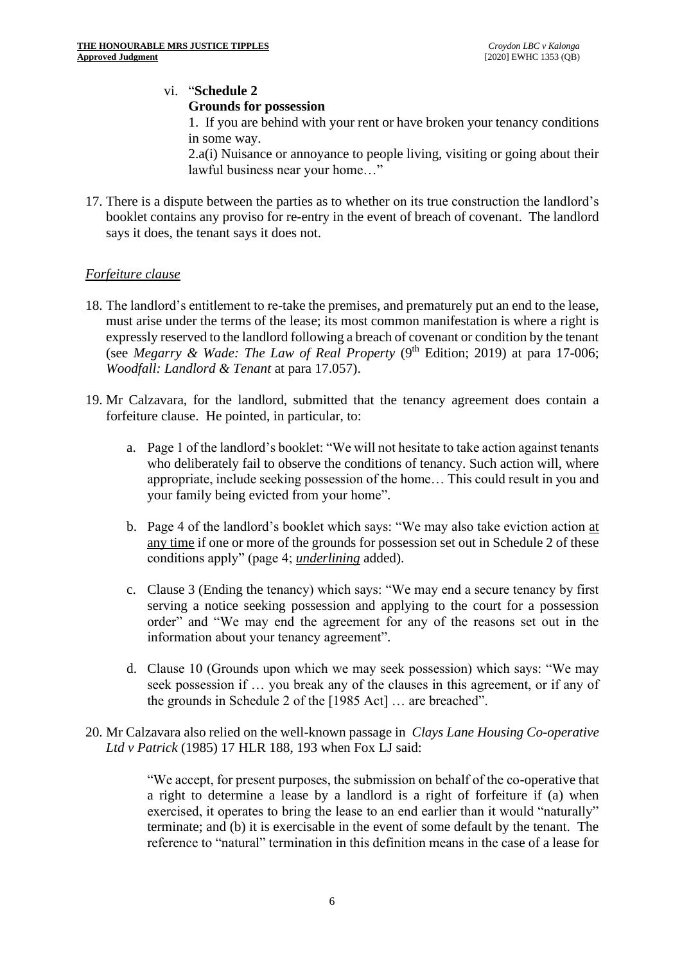# vi. "**Schedule 2 Grounds for possession**

1. If you are behind with your rent or have broken your tenancy conditions in some way.

2.a(i) Nuisance or annoyance to people living, visiting or going about their lawful business near your home…"

17. There is a dispute between the parties as to whether on its true construction the landlord's booklet contains any proviso for re-entry in the event of breach of covenant. The landlord says it does, the tenant says it does not.

# *Forfeiture clause*

- 18. The landlord's entitlement to re-take the premises, and prematurely put an end to the lease, must arise under the terms of the lease; its most common manifestation is where a right is expressly reserved to the landlord following a breach of covenant or condition by the tenant (see *Megarry & Wade: The Law of Real Property* (9<sup>th</sup> Edition; 2019) at para 17-006; *Woodfall: Landlord & Tenant* at para 17.057).
- 19. Mr Calzavara, for the landlord, submitted that the tenancy agreement does contain a forfeiture clause. He pointed, in particular, to:
	- a. Page 1 of the landlord's booklet: "We will not hesitate to take action against tenants who deliberately fail to observe the conditions of tenancy. Such action will, where appropriate, include seeking possession of the home… This could result in you and your family being evicted from your home".
	- b. Page 4 of the landlord's booklet which says: "We may also take eviction action at any time if one or more of the grounds for possession set out in Schedule 2 of these conditions apply" (page 4; *underlining* added).
	- c. Clause 3 (Ending the tenancy) which says: "We may end a secure tenancy by first serving a notice seeking possession and applying to the court for a possession order" and "We may end the agreement for any of the reasons set out in the information about your tenancy agreement".
	- d. Clause 10 (Grounds upon which we may seek possession) which says: "We may seek possession if … you break any of the clauses in this agreement, or if any of the grounds in Schedule 2 of the [1985 Act] … are breached".
- 20. Mr Calzavara also relied on the well-known passage in *Clays Lane Housing Co-operative Ltd v Patrick* (1985) 17 HLR 188, 193 when Fox LJ said:

"We accept, for present purposes, the submission on behalf of the co-operative that a right to determine a lease by a landlord is a right of forfeiture if (a) when exercised, it operates to bring the lease to an end earlier than it would "naturally" terminate; and (b) it is exercisable in the event of some default by the tenant. The reference to "natural" termination in this definition means in the case of a lease for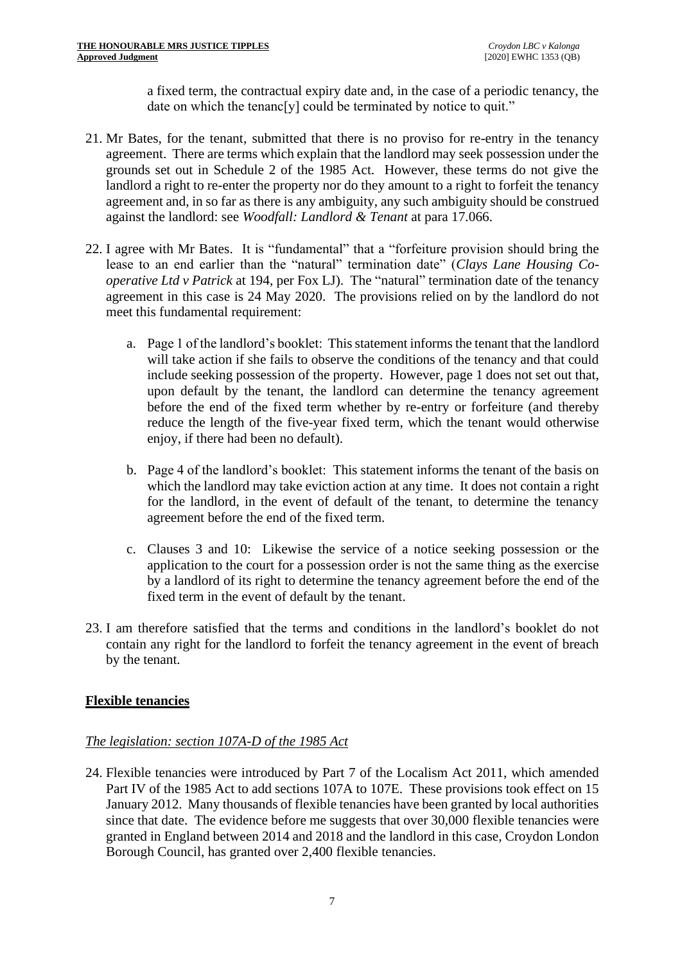a fixed term, the contractual expiry date and, in the case of a periodic tenancy, the date on which the tenanc[y] could be terminated by notice to quit."

- 21. Mr Bates, for the tenant, submitted that there is no proviso for re-entry in the tenancy agreement. There are terms which explain that the landlord may seek possession under the grounds set out in Schedule 2 of the 1985 Act. However, these terms do not give the landlord a right to re-enter the property nor do they amount to a right to forfeit the tenancy agreement and, in so far as there is any ambiguity, any such ambiguity should be construed against the landlord: see *Woodfall: Landlord & Tenant* at para 17.066.
- 22. I agree with Mr Bates. It is "fundamental" that a "forfeiture provision should bring the lease to an end earlier than the "natural" termination date" (*Clays Lane Housing Cooperative Ltd v Patrick* at 194, per Fox LJ). The "natural" termination date of the tenancy agreement in this case is 24 May 2020. The provisions relied on by the landlord do not meet this fundamental requirement:
	- a. Page 1 of the landlord's booklet: This statement informs the tenant that the landlord will take action if she fails to observe the conditions of the tenancy and that could include seeking possession of the property. However, page 1 does not set out that, upon default by the tenant, the landlord can determine the tenancy agreement before the end of the fixed term whether by re-entry or forfeiture (and thereby reduce the length of the five-year fixed term, which the tenant would otherwise enjoy, if there had been no default).
	- b. Page 4 of the landlord's booklet: This statement informs the tenant of the basis on which the landlord may take eviction action at any time. It does not contain a right for the landlord, in the event of default of the tenant, to determine the tenancy agreement before the end of the fixed term.
	- c. Clauses 3 and 10: Likewise the service of a notice seeking possession or the application to the court for a possession order is not the same thing as the exercise by a landlord of its right to determine the tenancy agreement before the end of the fixed term in the event of default by the tenant.
- 23. I am therefore satisfied that the terms and conditions in the landlord's booklet do not contain any right for the landlord to forfeit the tenancy agreement in the event of breach by the tenant.

# **Flexible tenancies**

# *The legislation: section 107A-D of the 1985 Act*

24. Flexible tenancies were introduced by Part 7 of the Localism Act 2011, which amended Part IV of the 1985 Act to add sections 107A to 107E. These provisions took effect on 15 January 2012. Many thousands of flexible tenancies have been granted by local authorities since that date. The evidence before me suggests that over 30,000 flexible tenancies were granted in England between 2014 and 2018 and the landlord in this case, Croydon London Borough Council, has granted over 2,400 flexible tenancies.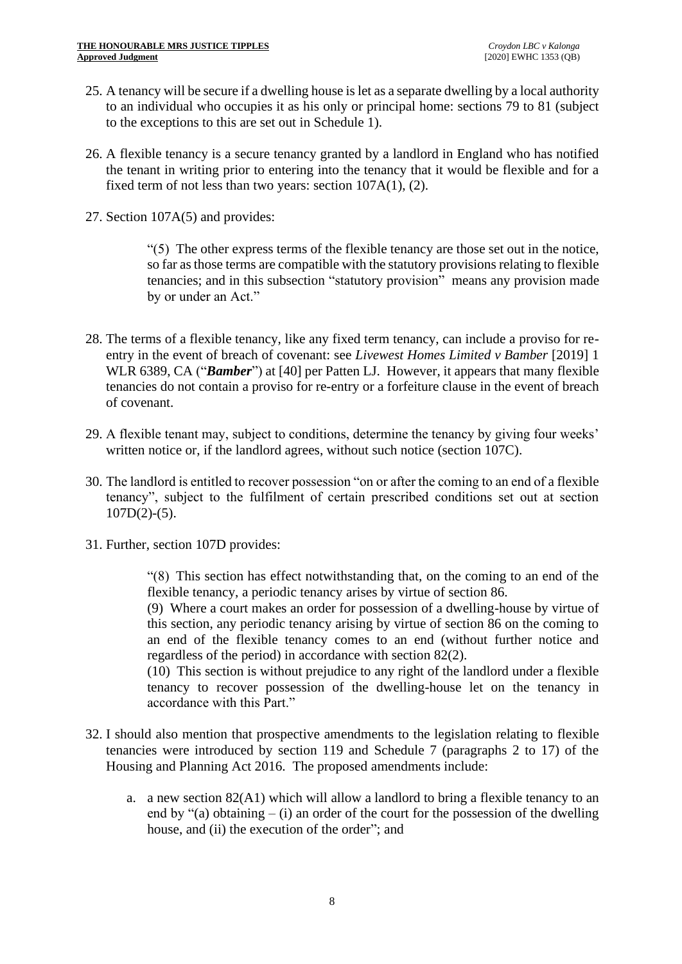- 25. A tenancy will be secure if a dwelling house is let as a separate dwelling by a local authority to an individual who occupies it as his only or principal home: sections 79 to 81 (subject to the exceptions to this are set out in Schedule 1).
- 26. A flexible tenancy is a secure tenancy granted by a landlord in England who has notified the tenant in writing prior to entering into the tenancy that it would be flexible and for a fixed term of not less than two years: section 107A(1), (2).
- 27. Section 107A(5) and provides:

"(5) The other express terms of the flexible tenancy are those set out in the notice, so far as those terms are compatible with the statutory provisions relating to flexible tenancies; and in this subsection "statutory provision" means any provision made by or under an Act."

- 28. The terms of a flexible tenancy, like any fixed term tenancy, can include a proviso for reentry in the event of breach of covenant: see *Livewest Homes Limited v Bamber* [2019] 1 WLR 6389, CA ("*Bamber*") at [40] per Patten LJ. However, it appears that many flexible tenancies do not contain a proviso for re-entry or a forfeiture clause in the event of breach of covenant.
- 29. A flexible tenant may, subject to conditions, determine the tenancy by giving four weeks' written notice or, if the landlord agrees, without such notice (section 107C).
- 30. The landlord is entitled to recover possession "on or after the coming to an end of a flexible tenancy", subject to the fulfilment of certain prescribed conditions set out at section  $107D(2)-(5)$ .
- 31. Further, section 107D provides:

"(8) This section has effect notwithstanding that, on the coming to an end of the flexible tenancy, a periodic tenancy arises by virtue of section 86.

(9) Where a court makes an order for possession of a dwelling-house by virtue of this section, any periodic tenancy arising by virtue of section 86 on the coming to an end of the flexible tenancy comes to an end (without further notice and regardless of the period) in accordance with section 82(2).

(10) This section is without prejudice to any right of the landlord under a flexible tenancy to recover possession of the dwelling-house let on the tenancy in accordance with this Part."

- 32. I should also mention that prospective amendments to the legislation relating to flexible tenancies were introduced by section 119 and Schedule 7 (paragraphs 2 to 17) of the Housing and Planning Act 2016. The proposed amendments include:
	- a. a new section 82(A1) which will allow a landlord to bring a flexible tenancy to an end by " $(a)$  obtaining –  $(i)$  an order of the court for the possession of the dwelling house, and (ii) the execution of the order"; and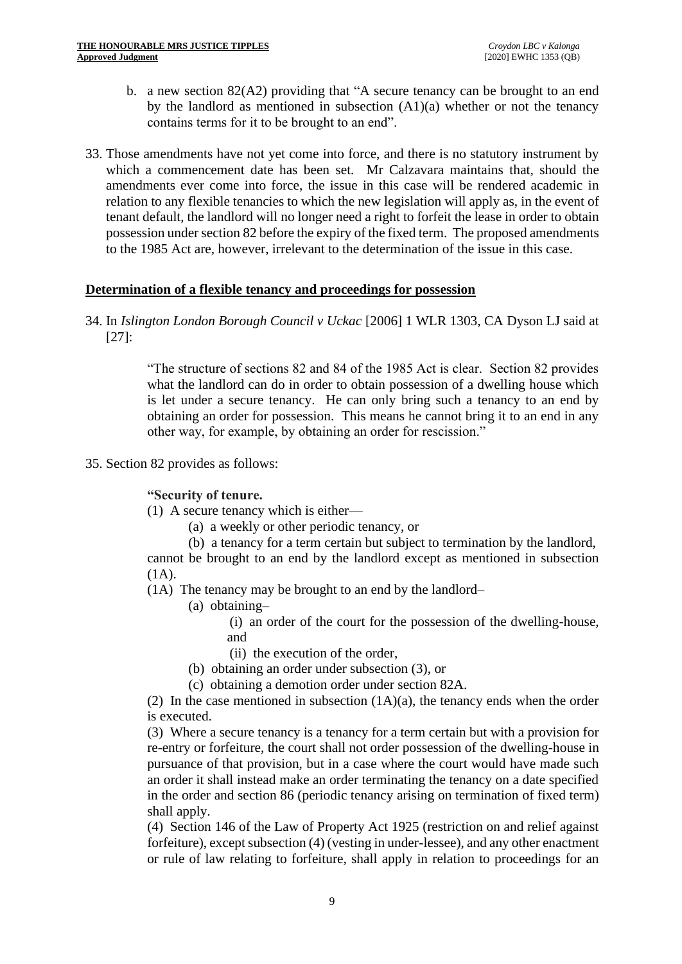- b. a new section 82(A2) providing that "A secure tenancy can be brought to an end by the landlord as mentioned in subsection  $(A1)(a)$  whether or not the tenancy contains terms for it to be brought to an end".
- 33. Those amendments have not yet come into force, and there is no statutory instrument by which a commencement date has been set. Mr Calzavara maintains that, should the amendments ever come into force, the issue in this case will be rendered academic in relation to any flexible tenancies to which the new legislation will apply as, in the event of tenant default, the landlord will no longer need a right to forfeit the lease in order to obtain possession under section 82 before the expiry of the fixed term. The proposed amendments to the 1985 Act are, however, irrelevant to the determination of the issue in this case.

### **Determination of a flexible tenancy and proceedings for possession**

34. In *Islington London Borough Council v Uckac* [2006] 1 WLR 1303, CA Dyson LJ said at [27]:

> "The structure of sections 82 and 84 of the 1985 Act is clear. Section 82 provides what the landlord can do in order to obtain possession of a dwelling house which is let under a secure tenancy. He can only bring such a tenancy to an end by obtaining an order for possession. This means he cannot bring it to an end in any other way, for example, by obtaining an order for rescission."

35. Section 82 provides as follows:

**"Security of tenure.**

(1) A secure tenancy which is either—

- (a) a weekly or other periodic tenancy, or
- (b) a tenancy for a term certain but subject to termination by the landlord,

cannot be brought to an end by the landlord except as mentioned in subsection (1A).

(1A) The tenancy may be brought to an end by the landlord–

(a) obtaining–

(i) an order of the court for the possession of the dwelling-house, and

- (ii) the execution of the order,
- (b) obtaining an order under subsection (3), or
- (c) obtaining a demotion order under section 82A.

(2) In the case mentioned in subsection  $(1A)(a)$ , the tenancy ends when the order is executed.

(3) Where a secure tenancy is a tenancy for a term certain but with a provision for re-entry or forfeiture, the court shall not order possession of the dwelling-house in pursuance of that provision, but in a case where the court would have made such an order it shall instead make an order terminating the tenancy on a date specified in the order and section 86 (periodic tenancy arising on termination of fixed term) shall apply.

(4) Section 146 of the Law of Property Act 1925 (restriction on and relief against forfeiture), except subsection (4) (vesting in under-lessee), and any other enactment or rule of law relating to forfeiture, shall apply in relation to proceedings for an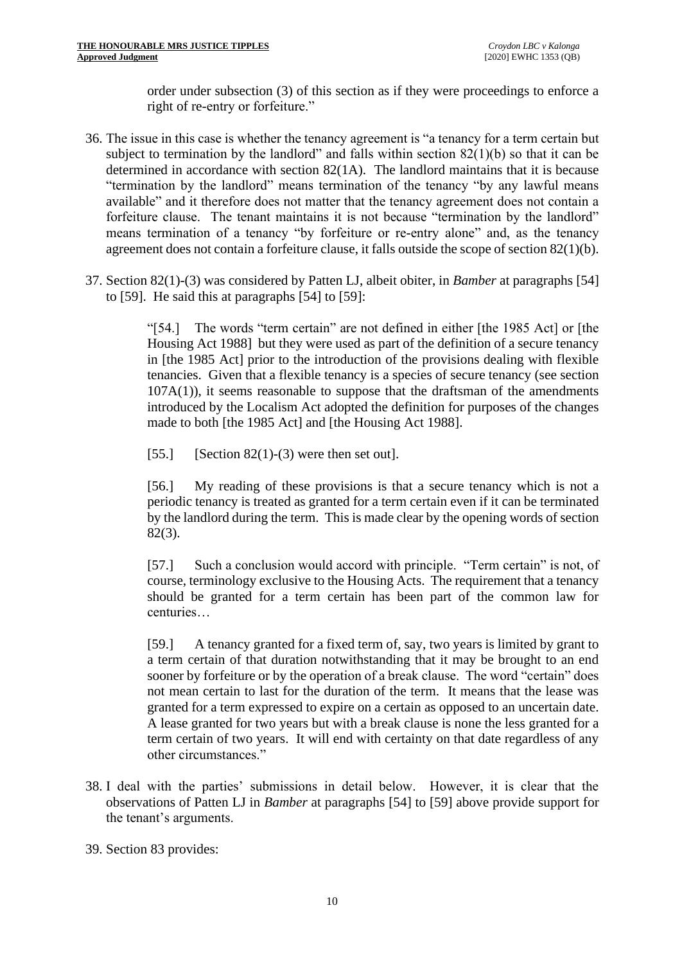order under subsection (3) of this section as if they were proceedings to enforce a right of re-entry or forfeiture."

- 36. The issue in this case is whether the tenancy agreement is "a tenancy for a term certain but subject to termination by the landlord" and falls within section  $82(1)(b)$  so that it can be determined in accordance with section 82(1A). The landlord maintains that it is because "termination by the landlord" means termination of the tenancy "by any lawful means available" and it therefore does not matter that the tenancy agreement does not contain a forfeiture clause. The tenant maintains it is not because "termination by the landlord" means termination of a tenancy "by forfeiture or re-entry alone" and, as the tenancy agreement does not contain a forfeiture clause, it falls outside the scope of section 82(1)(b).
- 37. Section 82(1)-(3) was considered by Patten LJ, albeit obiter, in *Bamber* at paragraphs [54] to [59]. He said this at paragraphs [54] to [59]:

"[54.] The words "term certain" are not defined in either [the 1985 Act] or [the Housing Act 1988] but they were used as part of the definition of a secure tenancy in [the 1985 Act] prior to the introduction of the provisions dealing with flexible tenancies. Given that a flexible tenancy is a species of secure tenancy (see section 107A(1)), it seems reasonable to suppose that the draftsman of the amendments introduced by the Localism Act adopted the definition for purposes of the changes made to both [the 1985 Act] and [the Housing Act 1988].

[55.] [Section 82(1)-(3) were then set out].

[56.] My reading of these provisions is that a secure tenancy which is not a periodic tenancy is treated as granted for a term certain even if it can be terminated by the landlord during the term. This is made clear by the opening words of section 82(3).

[57.] Such a conclusion would accord with principle. "Term certain" is not, of course, terminology exclusive to the Housing Acts. The requirement that a tenancy should be granted for a term certain has been part of the common law for centuries…

[59.] A tenancy granted for a fixed term of, say, two years is limited by grant to a term certain of that duration notwithstanding that it may be brought to an end sooner by forfeiture or by the operation of a break clause. The word "certain" does not mean certain to last for the duration of the term. It means that the lease was granted for a term expressed to expire on a certain as opposed to an uncertain date. A lease granted for two years but with a break clause is none the less granted for a term certain of two years. It will end with certainty on that date regardless of any other circumstances."

38. I deal with the parties' submissions in detail below. However, it is clear that the observations of Patten LJ in *Bamber* at paragraphs [54] to [59] above provide support for the tenant's arguments.

39. Section 83 provides: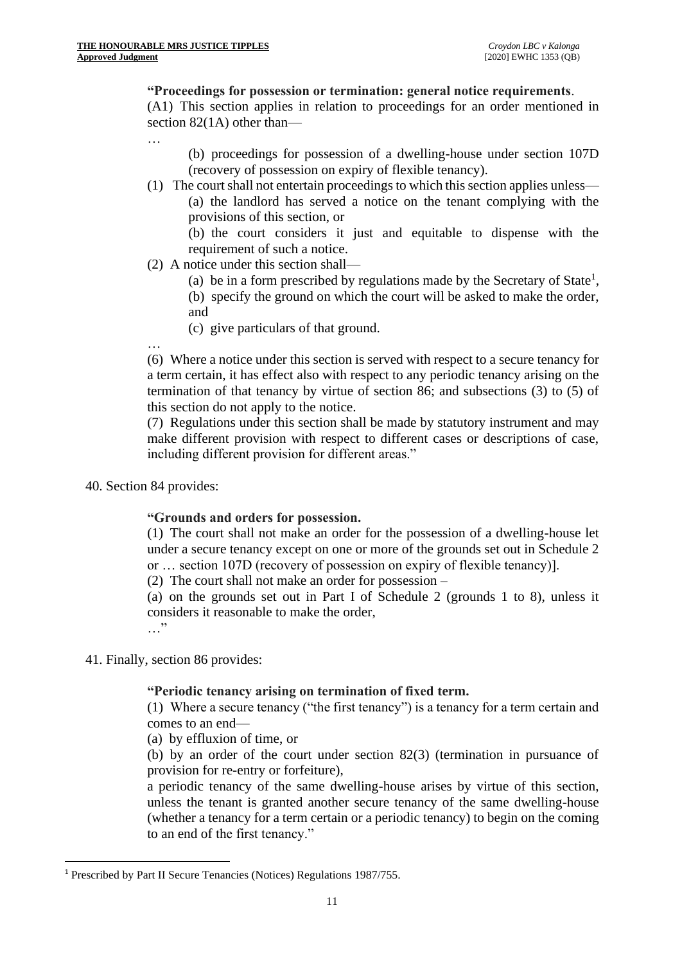## **"Proceedings for possession or termination: general notice requirements**.

(A1) This section applies in relation to proceedings for an order mentioned in section 82(1A) other than—

…

- (b) proceedings for possession of a dwelling-house under section 107D (recovery of possession on expiry of flexible tenancy).
- (1) The court shall not entertain proceedings to which this section applies unless— (a) the landlord has served a notice on the tenant complying with the provisions of this section, or

(b) the court considers it just and equitable to dispense with the requirement of such a notice.

- (2) A notice under this section shall—
	- (a) be in a form prescribed by regulations made by the Secretary of State<sup>1</sup>,
	- (b) specify the ground on which the court will be asked to make the order, and
	- (c) give particulars of that ground.

(6) Where a notice under this section is served with respect to a secure tenancy for a term certain, it has effect also with respect to any periodic tenancy arising on the termination of that tenancy by virtue of section 86; and subsections (3) to (5) of this section do not apply to the notice.

(7) Regulations under this section shall be made by statutory instrument and may make different provision with respect to different cases or descriptions of case, including different provision for different areas."

40. Section 84 provides:

…

# **"Grounds and orders for possession.**

(1) The court shall not make an order for the possession of a dwelling-house let under a secure tenancy except on one or more of the grounds set out in Schedule 2 or … section 107D (recovery of possession on expiry of flexible tenancy)].

(2) The court shall not make an order for possession –

(a) on the grounds set out in Part I of Schedule 2 (grounds 1 to 8), unless it considers it reasonable to make the order, …"

41. Finally, section 86 provides:

# **"Periodic tenancy arising on termination of fixed term.**

(1) Where a secure tenancy ("the first tenancy") is a tenancy for a term certain and comes to an end—

(a) by effluxion of time, or

(b) by an order of the court under section 82(3) (termination in pursuance of provision for re-entry or forfeiture),

a periodic tenancy of the same dwelling-house arises by virtue of this section, unless the tenant is granted another secure tenancy of the same dwelling-house (whether a tenancy for a term certain or a periodic tenancy) to begin on the coming to an end of the first tenancy."

<sup>1</sup> Prescribed by Part II Secure Tenancies (Notices) Regulations 1987/755.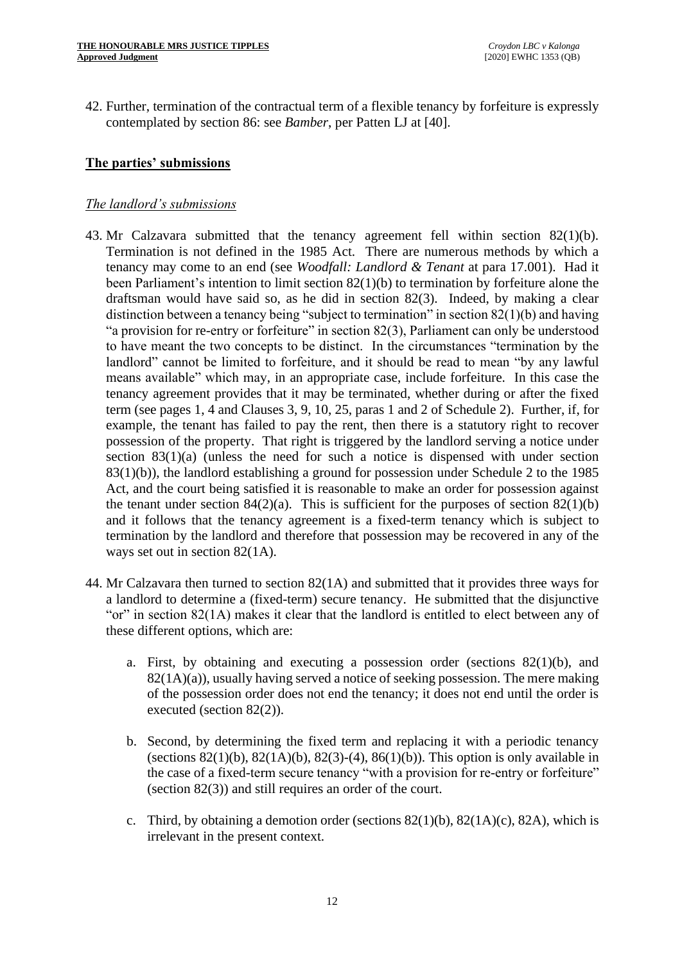42. Further, termination of the contractual term of a flexible tenancy by forfeiture is expressly contemplated by section 86: see *Bamber*, per Patten LJ at [40].

# **The parties' submissions**

### *The landlord's submissions*

- 43. Mr Calzavara submitted that the tenancy agreement fell within section 82(1)(b). Termination is not defined in the 1985 Act. There are numerous methods by which a tenancy may come to an end (see *Woodfall: Landlord & Tenant* at para 17.001). Had it been Parliament's intention to limit section 82(1)(b) to termination by forfeiture alone the draftsman would have said so, as he did in section 82(3). Indeed, by making a clear distinction between a tenancy being "subject to termination" in section 82(1)(b) and having "a provision for re-entry or forfeiture" in section 82(3), Parliament can only be understood to have meant the two concepts to be distinct. In the circumstances "termination by the landlord" cannot be limited to forfeiture, and it should be read to mean "by any lawful means available" which may, in an appropriate case, include forfeiture. In this case the tenancy agreement provides that it may be terminated, whether during or after the fixed term (see pages 1, 4 and Clauses 3, 9, 10, 25, paras 1 and 2 of Schedule 2). Further, if, for example, the tenant has failed to pay the rent, then there is a statutory right to recover possession of the property. That right is triggered by the landlord serving a notice under section 83(1)(a) (unless the need for such a notice is dispensed with under section 83(1)(b)), the landlord establishing a ground for possession under Schedule 2 to the 1985 Act, and the court being satisfied it is reasonable to make an order for possession against the tenant under section 84(2)(a). This is sufficient for the purposes of section 82(1)(b) and it follows that the tenancy agreement is a fixed-term tenancy which is subject to termination by the landlord and therefore that possession may be recovered in any of the ways set out in section 82(1A).
- 44. Mr Calzavara then turned to section 82(1A) and submitted that it provides three ways for a landlord to determine a (fixed-term) secure tenancy. He submitted that the disjunctive "or" in section 82(1A) makes it clear that the landlord is entitled to elect between any of these different options, which are:
	- a. First, by obtaining and executing a possession order (sections  $82(1)(b)$ , and 82(1A)(a)), usually having served a notice of seeking possession. The mere making of the possession order does not end the tenancy; it does not end until the order is executed (section 82(2)).
	- b. Second, by determining the fixed term and replacing it with a periodic tenancy (sections  $82(1)(b)$ ,  $82(1A)(b)$ ,  $82(3)-(4)$ ,  $86(1)(b)$ ). This option is only available in the case of a fixed-term secure tenancy "with a provision for re-entry or forfeiture" (section 82(3)) and still requires an order of the court.
	- c. Third, by obtaining a demotion order (sections  $82(1)(b)$ ,  $82(1A)(c)$ ,  $82A$ ), which is irrelevant in the present context.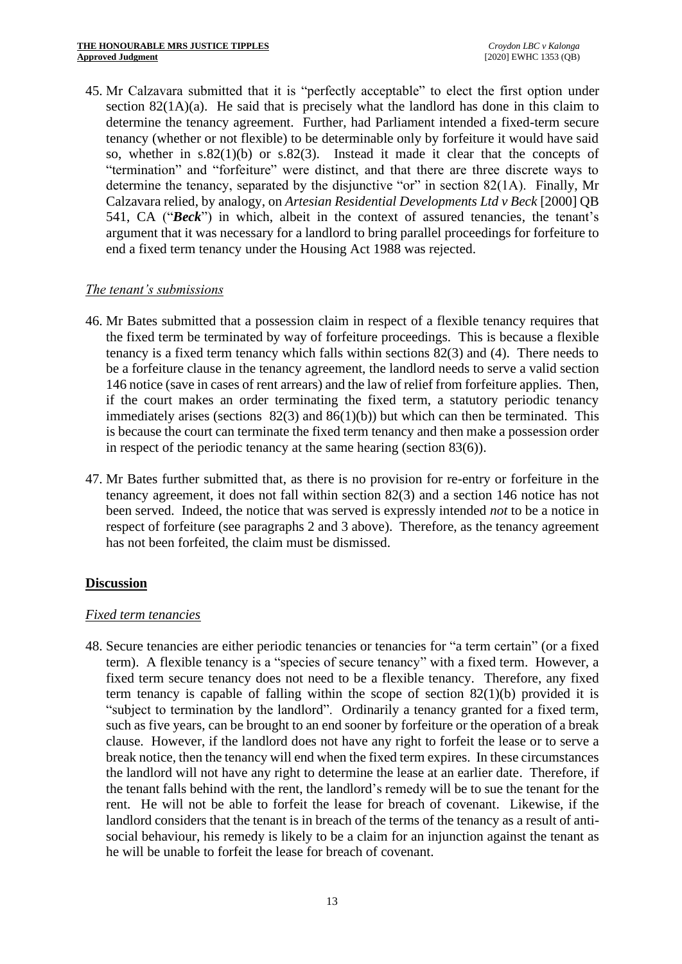45. Mr Calzavara submitted that it is "perfectly acceptable" to elect the first option under section  $82(1A)(a)$ . He said that is precisely what the landlord has done in this claim to determine the tenancy agreement. Further, had Parliament intended a fixed-term secure tenancy (whether or not flexible) to be determinable only by forfeiture it would have said so, whether in  $s.82(1)(b)$  or  $s.82(3)$ . Instead it made it clear that the concepts of "termination" and "forfeiture" were distinct, and that there are three discrete ways to determine the tenancy, separated by the disjunctive "or" in section 82(1A). Finally, Mr Calzavara relied, by analogy, on *Artesian Residential Developments Ltd v Beck* [2000] QB 541, CA ("*Beck*") in which, albeit in the context of assured tenancies, the tenant's argument that it was necessary for a landlord to bring parallel proceedings for forfeiture to end a fixed term tenancy under the Housing Act 1988 was rejected.

# *The tenant's submissions*

- 46. Mr Bates submitted that a possession claim in respect of a flexible tenancy requires that the fixed term be terminated by way of forfeiture proceedings. This is because a flexible tenancy is a fixed term tenancy which falls within sections 82(3) and (4). There needs to be a forfeiture clause in the tenancy agreement, the landlord needs to serve a valid section 146 notice (save in cases of rent arrears) and the law of relief from forfeiture applies. Then, if the court makes an order terminating the fixed term, a statutory periodic tenancy immediately arises (sections  $82(3)$  and  $86(1)(b)$ ) but which can then be terminated. This is because the court can terminate the fixed term tenancy and then make a possession order in respect of the periodic tenancy at the same hearing (section 83(6)).
- 47. Mr Bates further submitted that, as there is no provision for re-entry or forfeiture in the tenancy agreement, it does not fall within section 82(3) and a section 146 notice has not been served. Indeed, the notice that was served is expressly intended *not* to be a notice in respect of forfeiture (see paragraphs 2 and 3 above). Therefore, as the tenancy agreement has not been forfeited, the claim must be dismissed.

# **Discussion**

# *Fixed term tenancies*

48. Secure tenancies are either periodic tenancies or tenancies for "a term certain" (or a fixed term). A flexible tenancy is a "species of secure tenancy" with a fixed term. However, a fixed term secure tenancy does not need to be a flexible tenancy. Therefore, any fixed term tenancy is capable of falling within the scope of section  $82(1)(b)$  provided it is "subject to termination by the landlord". Ordinarily a tenancy granted for a fixed term, such as five years, can be brought to an end sooner by forfeiture or the operation of a break clause. However, if the landlord does not have any right to forfeit the lease or to serve a break notice, then the tenancy will end when the fixed term expires. In these circumstances the landlord will not have any right to determine the lease at an earlier date. Therefore, if the tenant falls behind with the rent, the landlord's remedy will be to sue the tenant for the rent. He will not be able to forfeit the lease for breach of covenant. Likewise, if the landlord considers that the tenant is in breach of the terms of the tenancy as a result of antisocial behaviour, his remedy is likely to be a claim for an injunction against the tenant as he will be unable to forfeit the lease for breach of covenant.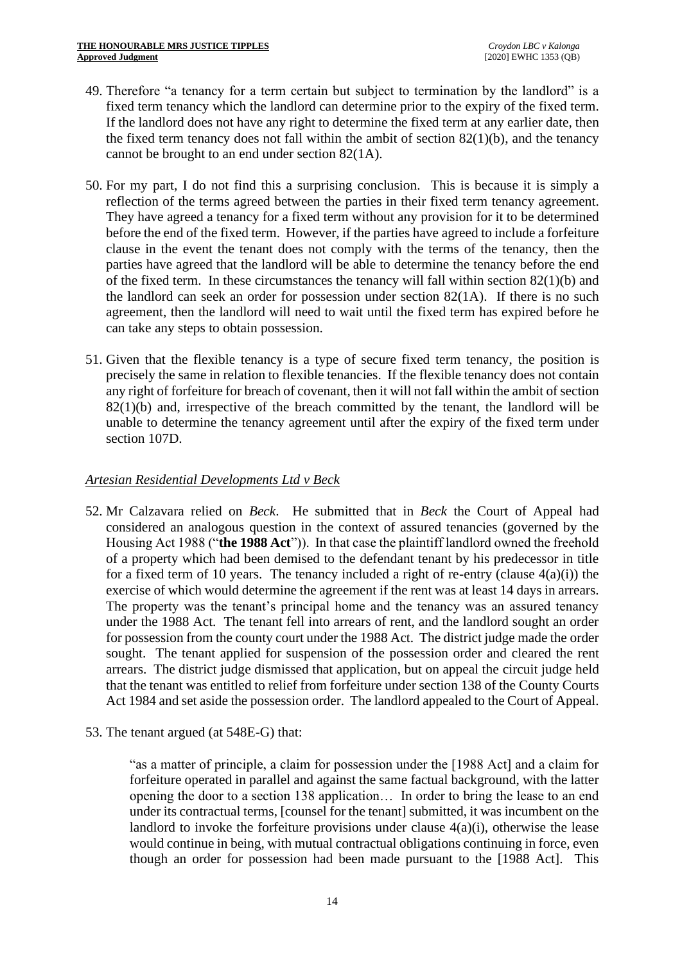- 49. Therefore "a tenancy for a term certain but subject to termination by the landlord" is a fixed term tenancy which the landlord can determine prior to the expiry of the fixed term. If the landlord does not have any right to determine the fixed term at any earlier date, then the fixed term tenancy does not fall within the ambit of section  $82(1)(b)$ , and the tenancy cannot be brought to an end under section 82(1A).
- 50. For my part, I do not find this a surprising conclusion. This is because it is simply a reflection of the terms agreed between the parties in their fixed term tenancy agreement. They have agreed a tenancy for a fixed term without any provision for it to be determined before the end of the fixed term. However, if the parties have agreed to include a forfeiture clause in the event the tenant does not comply with the terms of the tenancy, then the parties have agreed that the landlord will be able to determine the tenancy before the end of the fixed term. In these circumstances the tenancy will fall within section 82(1)(b) and the landlord can seek an order for possession under section 82(1A). If there is no such agreement, then the landlord will need to wait until the fixed term has expired before he can take any steps to obtain possession.
- 51. Given that the flexible tenancy is a type of secure fixed term tenancy, the position is precisely the same in relation to flexible tenancies. If the flexible tenancy does not contain any right of forfeiture for breach of covenant, then it will not fall within the ambit of section  $82(1)(b)$  and, irrespective of the breach committed by the tenant, the landlord will be unable to determine the tenancy agreement until after the expiry of the fixed term under section 107D.

# *Artesian Residential Developments Ltd v Beck*

- 52. Mr Calzavara relied on *Beck*. He submitted that in *Beck* the Court of Appeal had considered an analogous question in the context of assured tenancies (governed by the Housing Act 1988 ("**the 1988 Act**")). In that case the plaintiff landlord owned the freehold of a property which had been demised to the defendant tenant by his predecessor in title for a fixed term of 10 years. The tenancy included a right of re-entry (clause  $4(a)(i)$ ) the exercise of which would determine the agreement if the rent was at least 14 days in arrears. The property was the tenant's principal home and the tenancy was an assured tenancy under the 1988 Act. The tenant fell into arrears of rent, and the landlord sought an order for possession from the county court under the 1988 Act. The district judge made the order sought. The tenant applied for suspension of the possession order and cleared the rent arrears. The district judge dismissed that application, but on appeal the circuit judge held that the tenant was entitled to relief from forfeiture under section 138 of the County Courts Act 1984 and set aside the possession order. The landlord appealed to the Court of Appeal.
- 53. The tenant argued (at 548E-G) that:

"as a matter of principle, a claim for possession under the [1988 Act] and a claim for forfeiture operated in parallel and against the same factual background, with the latter opening the door to a section 138 application… In order to bring the lease to an end under its contractual terms, [counsel for the tenant] submitted, it was incumbent on the landlord to invoke the forfeiture provisions under clause  $4(a)(i)$ , otherwise the lease would continue in being, with mutual contractual obligations continuing in force, even though an order for possession had been made pursuant to the [1988 Act]. This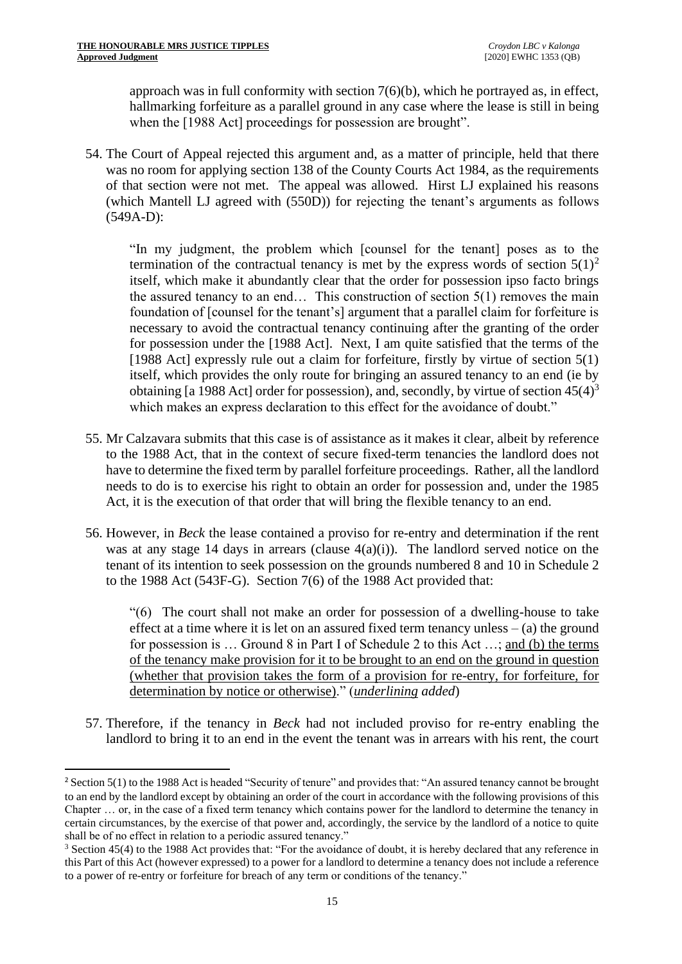approach was in full conformity with section 7(6)(b), which he portrayed as, in effect, hallmarking forfeiture as a parallel ground in any case where the lease is still in being when the [1988 Act] proceedings for possession are brought".

54. The Court of Appeal rejected this argument and, as a matter of principle, held that there was no room for applying section 138 of the County Courts Act 1984, as the requirements of that section were not met. The appeal was allowed. Hirst LJ explained his reasons (which Mantell LJ agreed with (550D)) for rejecting the tenant's arguments as follows (549A-D):

"In my judgment, the problem which [counsel for the tenant] poses as to the termination of the contractual tenancy is met by the express words of section  $5(1)^2$ itself, which make it abundantly clear that the order for possession ipso facto brings the assured tenancy to an end… This construction of section 5(1) removes the main foundation of [counsel for the tenant's] argument that a parallel claim for forfeiture is necessary to avoid the contractual tenancy continuing after the granting of the order for possession under the [1988 Act]. Next, I am quite satisfied that the terms of the [1988 Act] expressly rule out a claim for forfeiture, firstly by virtue of section  $5(1)$ itself, which provides the only route for bringing an assured tenancy to an end (ie by obtaining [a 1988 Act] order for possession), and, secondly, by virtue of section  $45(4)^3$ which makes an express declaration to this effect for the avoidance of doubt."

- 55. Mr Calzavara submits that this case is of assistance as it makes it clear, albeit by reference to the 1988 Act, that in the context of secure fixed-term tenancies the landlord does not have to determine the fixed term by parallel forfeiture proceedings. Rather, all the landlord needs to do is to exercise his right to obtain an order for possession and, under the 1985 Act, it is the execution of that order that will bring the flexible tenancy to an end.
- 56. However, in *Beck* the lease contained a proviso for re-entry and determination if the rent was at any stage 14 days in arrears (clause  $4(a)(i)$ ). The landlord served notice on the tenant of its intention to seek possession on the grounds numbered 8 and 10 in Schedule 2 to the 1988 Act (543F-G). Section 7(6) of the 1988 Act provided that:

"(6) The court shall not make an order for possession of a dwelling-house to take effect at a time where it is let on an assured fixed term tenancy unless  $-$  (a) the ground for possession is ... Ground 8 in Part I of Schedule 2 to this Act ...; and (b) the terms of the tenancy make provision for it to be brought to an end on the ground in question (whether that provision takes the form of a provision for re-entry, for forfeiture, for determination by notice or otherwise)." (*underlining added*)

57. Therefore, if the tenancy in *Beck* had not included proviso for re-entry enabling the landlord to bring it to an end in the event the tenant was in arrears with his rent, the court

<sup>&</sup>lt;sup>2</sup> Section 5(1) to the 1988 Act is headed "Security of tenure" and provides that: "An assured tenancy cannot be brought to an end by the landlord except by obtaining an order of the court in accordance with the following provisions of this Chapter … or, in the case of a fixed term tenancy which contains power for the landlord to determine the tenancy in certain circumstances, by the exercise of that power and, accordingly, the service by the landlord of a notice to quite shall be of no effect in relation to a periodic assured tenancy."

<sup>&</sup>lt;sup>3</sup> Section 45(4) to the 1988 Act provides that: "For the avoidance of doubt, it is hereby declared that any reference in this Part of this Act (however expressed) to a power for a landlord to determine a tenancy does not include a reference to a power of re-entry or forfeiture for breach of any term or conditions of the tenancy."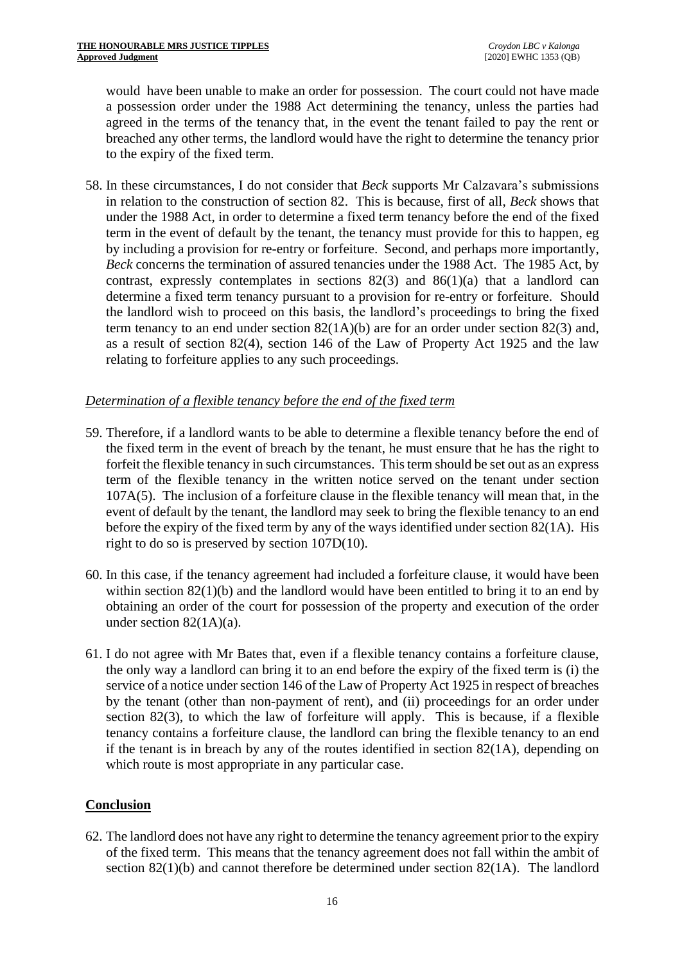would have been unable to make an order for possession. The court could not have made a possession order under the 1988 Act determining the tenancy, unless the parties had agreed in the terms of the tenancy that, in the event the tenant failed to pay the rent or breached any other terms, the landlord would have the right to determine the tenancy prior to the expiry of the fixed term.

58. In these circumstances, I do not consider that *Beck* supports Mr Calzavara's submissions in relation to the construction of section 82. This is because, first of all, *Beck* shows that under the 1988 Act, in order to determine a fixed term tenancy before the end of the fixed term in the event of default by the tenant, the tenancy must provide for this to happen, eg by including a provision for re-entry or forfeiture. Second, and perhaps more importantly, *Beck* concerns the termination of assured tenancies under the 1988 Act. The 1985 Act, by contrast, expressly contemplates in sections  $82(3)$  and  $86(1)(a)$  that a landlord can determine a fixed term tenancy pursuant to a provision for re-entry or forfeiture. Should the landlord wish to proceed on this basis, the landlord's proceedings to bring the fixed term tenancy to an end under section  $82(1A)(b)$  are for an order under section  $82(3)$  and, as a result of section 82(4), section 146 of the Law of Property Act 1925 and the law relating to forfeiture applies to any such proceedings.

# *Determination of a flexible tenancy before the end of the fixed term*

- 59. Therefore, if a landlord wants to be able to determine a flexible tenancy before the end of the fixed term in the event of breach by the tenant, he must ensure that he has the right to forfeit the flexible tenancy in such circumstances. This term should be set out as an express term of the flexible tenancy in the written notice served on the tenant under section 107A(5). The inclusion of a forfeiture clause in the flexible tenancy will mean that, in the event of default by the tenant, the landlord may seek to bring the flexible tenancy to an end before the expiry of the fixed term by any of the ways identified under section 82(1A). His right to do so is preserved by section 107D(10).
- 60. In this case, if the tenancy agreement had included a forfeiture clause, it would have been within section  $82(1)(b)$  and the landlord would have been entitled to bring it to an end by obtaining an order of the court for possession of the property and execution of the order under section 82(1A)(a).
- 61. I do not agree with Mr Bates that, even if a flexible tenancy contains a forfeiture clause, the only way a landlord can bring it to an end before the expiry of the fixed term is (i) the service of a notice under section 146 of the Law of Property Act 1925 in respect of breaches by the tenant (other than non-payment of rent), and (ii) proceedings for an order under section 82(3), to which the law of forfeiture will apply. This is because, if a flexible tenancy contains a forfeiture clause, the landlord can bring the flexible tenancy to an end if the tenant is in breach by any of the routes identified in section 82(1A), depending on which route is most appropriate in any particular case.

# **Conclusion**

62. The landlord does not have any right to determine the tenancy agreement prior to the expiry of the fixed term. This means that the tenancy agreement does not fall within the ambit of section  $82(1)(b)$  and cannot therefore be determined under section  $82(1)$ . The landlord